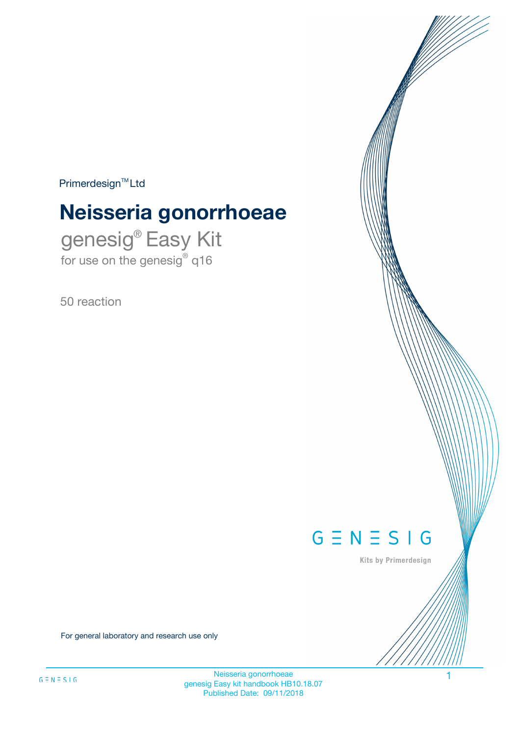$Primerdesign^{\text{TM}}Ltd$ 

# **Neisseria gonorrhoeae**

genesig® Easy Kit for use on the genesig® q16

50 reaction



Kits by Primerdesign

For general laboratory and research use only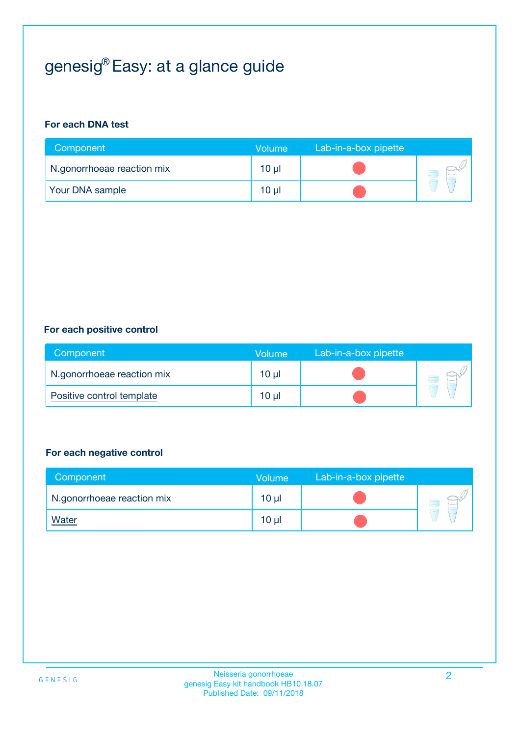# genesig® Easy: at a glance guide

#### **For each DNA test**

| Component                  | <b>Volume</b> | Lab-in-a-box pipette |  |
|----------------------------|---------------|----------------------|--|
| N.gonorrhoeae reaction mix | 10 µl         |                      |  |
| <b>Your DNA sample</b>     | 10 µl         |                      |  |

#### **For each positive control**

| Component                  | Volume   | Lab-in-a-box pipette |  |
|----------------------------|----------|----------------------|--|
| N.gonorrhoeae reaction mix | $10 \mu$ |                      |  |
| Positive control template  | $10 \mu$ |                      |  |

#### **For each negative control**

| Component                  | <b>Volume</b>   | Lab-in-a-box pipette |  |
|----------------------------|-----------------|----------------------|--|
| N.gonorrhoeae reaction mix | $10 \mu$        |                      |  |
| <u>Water</u>               | 10 <sub>µ</sub> |                      |  |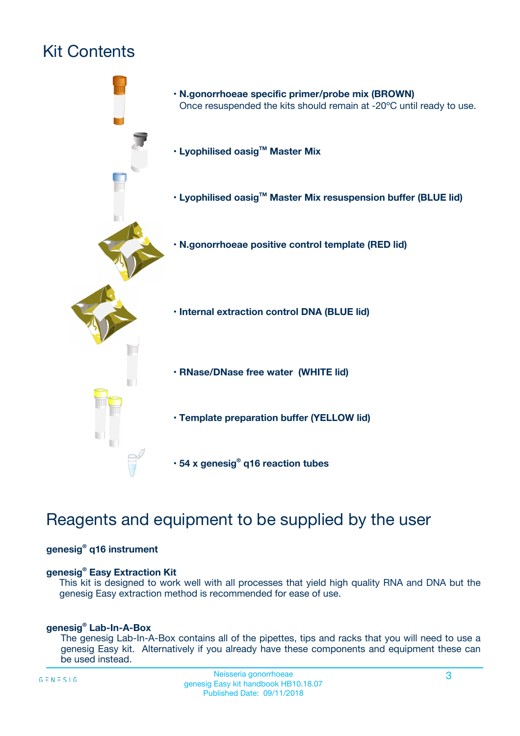# Kit Contents



## Reagents and equipment to be supplied by the user

#### **genesig® q16 instrument**

#### **genesig® Easy Extraction Kit**

This kit is designed to work well with all processes that yield high quality RNA and DNA but the genesig Easy extraction method is recommended for ease of use.

#### **genesig® Lab-In-A-Box**

The genesig Lab-In-A-Box contains all of the pipettes, tips and racks that you will need to use a genesig Easy kit. Alternatively if you already have these components and equipment these can be used instead.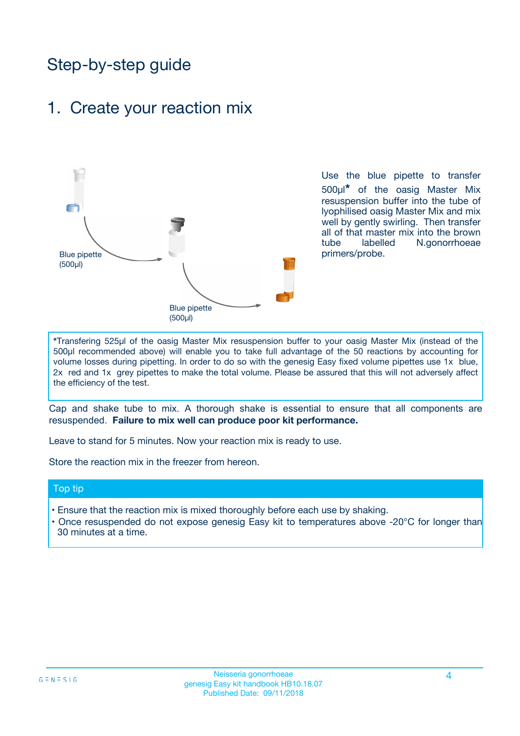## Step-by-step guide

### 1. Create your reaction mix



Use the blue pipette to transfer 500µl**\*** of the oasig Master Mix resuspension buffer into the tube of lyophilised oasig Master Mix and mix well by gently swirling. Then transfer all of that master mix into the brown tube labelled N.gonorrhoeae primers/probe.

**\***Transfering 525µl of the oasig Master Mix resuspension buffer to your oasig Master Mix (instead of the 500µl recommended above) will enable you to take full advantage of the 50 reactions by accounting for volume losses during pipetting. In order to do so with the genesig Easy fixed volume pipettes use 1x blue, 2x red and 1x grey pipettes to make the total volume. Please be assured that this will not adversely affect the efficiency of the test.

Cap and shake tube to mix. A thorough shake is essential to ensure that all components are resuspended. **Failure to mix well can produce poor kit performance.**

Leave to stand for 5 minutes. Now your reaction mix is ready to use.

Store the reaction mix in the freezer from hereon.

#### Top tip

- Ensure that the reaction mix is mixed thoroughly before each use by shaking.
- **•** Once resuspended do not expose genesig Easy kit to temperatures above -20°C for longer than 30 minutes at a time.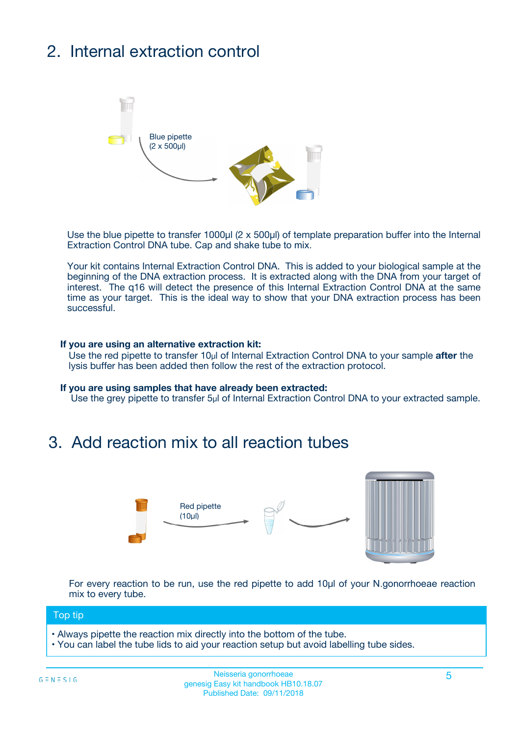# 2. Internal extraction control



Use the blue pipette to transfer 1000µl (2 x 500µl) of template preparation buffer into the Internal Extraction Control DNA tube. Cap and shake tube to mix.

Your kit contains Internal Extraction Control DNA. This is added to your biological sample at the beginning of the DNA extraction process. It is extracted along with the DNA from your target of interest. The q16 will detect the presence of this Internal Extraction Control DNA at the same time as your target. This is the ideal way to show that your DNA extraction process has been **successful.** 

#### **If you are using an alternative extraction kit:**

Use the red pipette to transfer 10µl of Internal Extraction Control DNA to your sample **after** the lysis buffer has been added then follow the rest of the extraction protocol.

#### **If you are using samples that have already been extracted:**

Use the grey pipette to transfer 5µl of Internal Extraction Control DNA to your extracted sample.

### 3. Add reaction mix to all reaction tubes



For every reaction to be run, use the red pipette to add 10µl of your N.gonorrhoeae reaction mix to every tube.

#### Top tip

- Always pipette the reaction mix directly into the bottom of the tube.
- You can label the tube lids to aid your reaction setup but avoid labelling tube sides.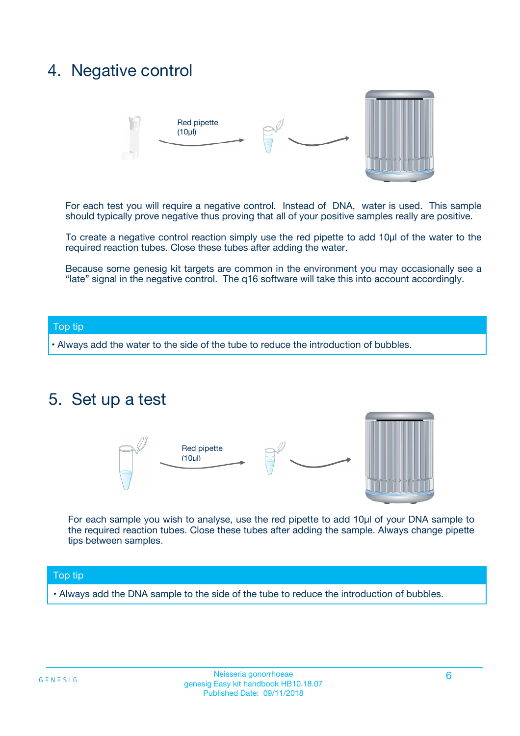## 4. Negative control



For each test you will require a negative control. Instead of DNA, water is used. This sample should typically prove negative thus proving that all of your positive samples really are positive.

To create a negative control reaction simply use the red pipette to add 10µl of the water to the required reaction tubes. Close these tubes after adding the water.

Because some genesig kit targets are common in the environment you may occasionally see a "late" signal in the negative control. The q16 software will take this into account accordingly.

#### Top tip

**•** Always add the water to the side of the tube to reduce the introduction of bubbles.

### 5. Set up a test



For each sample you wish to analyse, use the red pipette to add 10µl of your DNA sample to the required reaction tubes. Close these tubes after adding the sample. Always change pipette tips between samples.

#### Top tip

**•** Always add the DNA sample to the side of the tube to reduce the introduction of bubbles.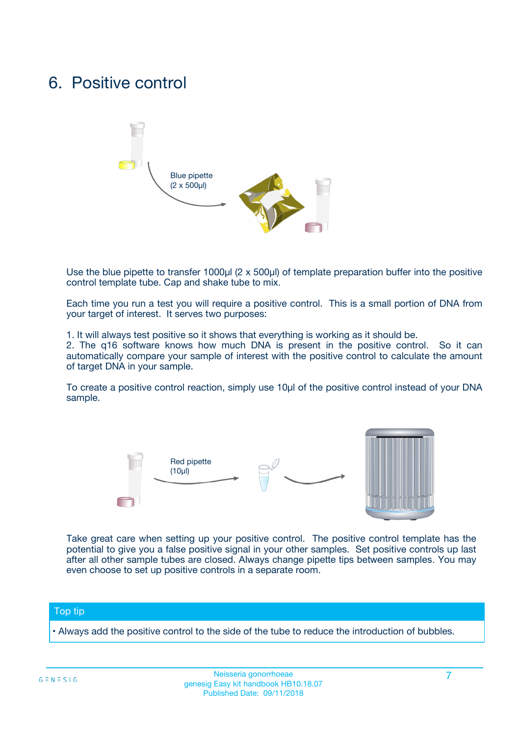## 6. Positive control



Use the blue pipette to transfer 1000µl (2 x 500µl) of template preparation buffer into the positive control template tube. Cap and shake tube to mix.

Each time you run a test you will require a positive control. This is a small portion of DNA from your target of interest. It serves two purposes:

1. It will always test positive so it shows that everything is working as it should be.

2. The q16 software knows how much DNA is present in the positive control. So it can automatically compare your sample of interest with the positive control to calculate the amount of target DNA in your sample.

To create a positive control reaction, simply use 10µl of the positive control instead of your DNA sample.



Take great care when setting up your positive control. The positive control template has the potential to give you a false positive signal in your other samples. Set positive controls up last after all other sample tubes are closed. Always change pipette tips between samples. You may even choose to set up positive controls in a separate room.

#### Top tip

**•** Always add the positive control to the side of the tube to reduce the introduction of bubbles.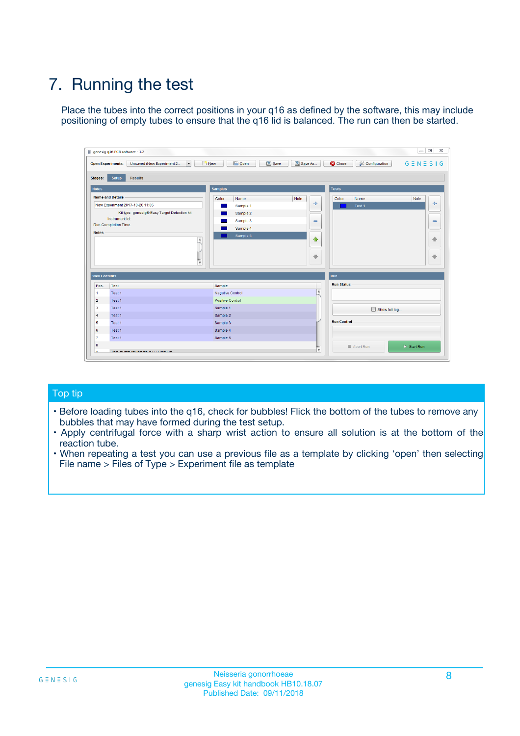# 7. Running the test

Place the tubes into the correct positions in your q16 as defined by the software, this may include positioning of empty tubes to ensure that the q16 lid is balanced. The run can then be started.

| genesig q16 PCR software - 1.2                                               |                                     | $\Box$                                                                                  |
|------------------------------------------------------------------------------|-------------------------------------|-----------------------------------------------------------------------------------------|
| Unsaved (New Experiment 2<br>$\vert \cdot \vert$<br><b>Open Experiments:</b> | <b>D</b> Open<br>Save<br>$\Box$ New | Save As<br><b>C</b> Close<br>$G \equiv N \equiv S \mid G$<br><b>&amp; Configuration</b> |
| Setup<br><b>Results</b><br><b>Stages:</b>                                    |                                     |                                                                                         |
| <b>Notes</b>                                                                 | Samples                             | <b>Tests</b>                                                                            |
| <b>Name and Details</b>                                                      | Color<br>Name                       | Note<br>Color<br>Note<br>Name                                                           |
| New Experiment 2017-10-26 11:06                                              | Sample 1                            | ع<br>条<br>Test 1                                                                        |
| Kit type: genesig® Easy Target Detection kit                                 | Sample 2                            |                                                                                         |
| Instrument Id.:                                                              | Sample 3                            | $\qquad \qquad \blacksquare$<br>$\qquad \qquad \blacksquare$                            |
| Run Completion Time:                                                         | Sample 4                            |                                                                                         |
| <b>Notes</b>                                                                 | Sample 5<br>A<br>v                  | $\triangle$<br>4<br>$\oplus$<br>₩                                                       |
| <b>Well Contents</b>                                                         |                                     | <b>Run</b>                                                                              |
| Pos.<br>Test                                                                 | Sample                              | <b>Run Status</b>                                                                       |
| Test 1<br>-1                                                                 | <b>Negative Control</b>             | $\blacktriangle$                                                                        |
| $\overline{2}$<br>Test 1                                                     | <b>Positive Control</b>             |                                                                                         |
| $\overline{\mathbf{3}}$<br>Test 1                                            | Sample 1                            | Show full log                                                                           |
| Test 1<br>$\overline{4}$                                                     | Sample 2                            |                                                                                         |
| 5<br>Test 1                                                                  | Sample 3                            | <b>Run Control</b>                                                                      |
| 6<br>Test 1                                                                  | Sample 4                            |                                                                                         |
| $\overline{7}$<br>Test 1                                                     | Sample 5                            |                                                                                         |
| 8                                                                            |                                     | $\triangleright$ Start Run<br>Abort Run                                                 |
| <b>JOD FURTY TUDE TO BUILDED IN</b>                                          |                                     | $\overline{\mathbf{v}}$                                                                 |

#### Top tip

- Before loading tubes into the q16, check for bubbles! Flick the bottom of the tubes to remove any bubbles that may have formed during the test setup.
- Apply centrifugal force with a sharp wrist action to ensure all solution is at the bottom of the reaction tube.
- When repeating a test you can use a previous file as a template by clicking 'open' then selecting File name > Files of Type > Experiment file as template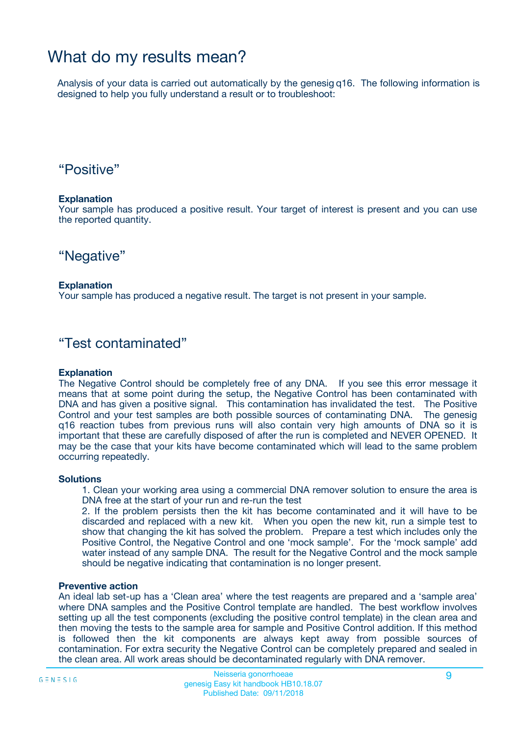## What do my results mean?

Analysis of your data is carried out automatically by the genesig q16. The following information is designed to help you fully understand a result or to troubleshoot:

### "Positive"

#### **Explanation**

Your sample has produced a positive result. Your target of interest is present and you can use the reported quantity.

"Negative"

#### **Explanation**

Your sample has produced a negative result. The target is not present in your sample.

### "Test contaminated"

#### **Explanation**

The Negative Control should be completely free of any DNA. If you see this error message it means that at some point during the setup, the Negative Control has been contaminated with DNA and has given a positive signal. This contamination has invalidated the test. The Positive Control and your test samples are both possible sources of contaminating DNA. The genesig q16 reaction tubes from previous runs will also contain very high amounts of DNA so it is important that these are carefully disposed of after the run is completed and NEVER OPENED. It may be the case that your kits have become contaminated which will lead to the same problem occurring repeatedly.

#### **Solutions**

1. Clean your working area using a commercial DNA remover solution to ensure the area is DNA free at the start of your run and re-run the test

2. If the problem persists then the kit has become contaminated and it will have to be discarded and replaced with a new kit. When you open the new kit, run a simple test to show that changing the kit has solved the problem. Prepare a test which includes only the Positive Control, the Negative Control and one 'mock sample'. For the 'mock sample' add water instead of any sample DNA. The result for the Negative Control and the mock sample should be negative indicating that contamination is no longer present.

#### **Preventive action**

An ideal lab set-up has a 'Clean area' where the test reagents are prepared and a 'sample area' where DNA samples and the Positive Control template are handled. The best workflow involves setting up all the test components (excluding the positive control template) in the clean area and then moving the tests to the sample area for sample and Positive Control addition. If this method is followed then the kit components are always kept away from possible sources of contamination. For extra security the Negative Control can be completely prepared and sealed in the clean area. All work areas should be decontaminated regularly with DNA remover.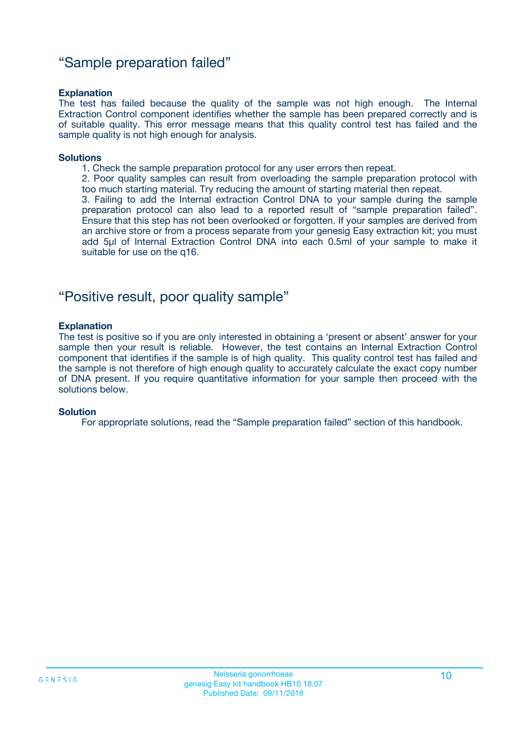### "Sample preparation failed"

#### **Explanation**

The test has failed because the quality of the sample was not high enough. The Internal Extraction Control component identifies whether the sample has been prepared correctly and is of suitable quality. This error message means that this quality control test has failed and the sample quality is not high enough for analysis.

#### **Solutions**

1. Check the sample preparation protocol for any user errors then repeat.

2. Poor quality samples can result from overloading the sample preparation protocol with too much starting material. Try reducing the amount of starting material then repeat.

3. Failing to add the Internal extraction Control DNA to your sample during the sample preparation protocol can also lead to a reported result of "sample preparation failed". Ensure that this step has not been overlooked or forgotten. If your samples are derived from an archive store or from a process separate from your genesig Easy extraction kit; you must add 5µl of Internal Extraction Control DNA into each 0.5ml of your sample to make it suitable for use on the q16.

### "Positive result, poor quality sample"

#### **Explanation**

The test is positive so if you are only interested in obtaining a 'present or absent' answer for your sample then your result is reliable. However, the test contains an Internal Extraction Control component that identifies if the sample is of high quality. This quality control test has failed and the sample is not therefore of high enough quality to accurately calculate the exact copy number of DNA present. If you require quantitative information for your sample then proceed with the solutions below.

#### **Solution**

For appropriate solutions, read the "Sample preparation failed" section of this handbook.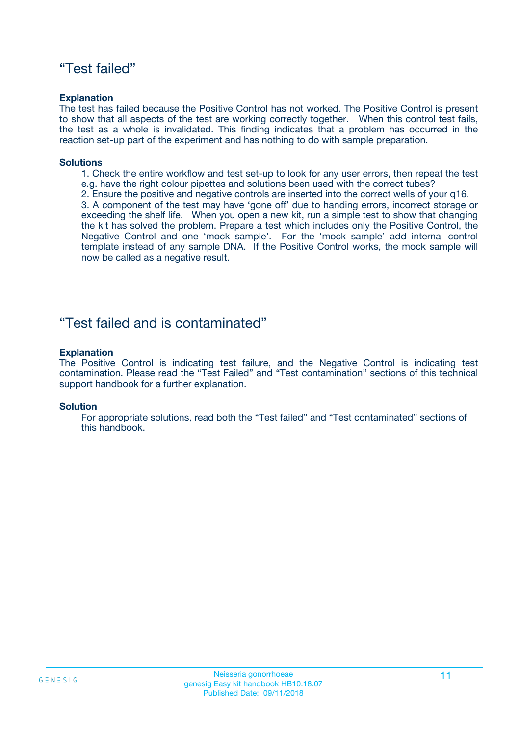### "Test failed"

#### **Explanation**

The test has failed because the Positive Control has not worked. The Positive Control is present to show that all aspects of the test are working correctly together. When this control test fails, the test as a whole is invalidated. This finding indicates that a problem has occurred in the reaction set-up part of the experiment and has nothing to do with sample preparation.

#### **Solutions**

- 1. Check the entire workflow and test set-up to look for any user errors, then repeat the test e.g. have the right colour pipettes and solutions been used with the correct tubes?
- 2. Ensure the positive and negative controls are inserted into the correct wells of your q16.

3. A component of the test may have 'gone off' due to handing errors, incorrect storage or exceeding the shelf life. When you open a new kit, run a simple test to show that changing the kit has solved the problem. Prepare a test which includes only the Positive Control, the Negative Control and one 'mock sample'. For the 'mock sample' add internal control template instead of any sample DNA. If the Positive Control works, the mock sample will now be called as a negative result.

### "Test failed and is contaminated"

#### **Explanation**

The Positive Control is indicating test failure, and the Negative Control is indicating test contamination. Please read the "Test Failed" and "Test contamination" sections of this technical support handbook for a further explanation.

#### **Solution**

For appropriate solutions, read both the "Test failed" and "Test contaminated" sections of this handbook.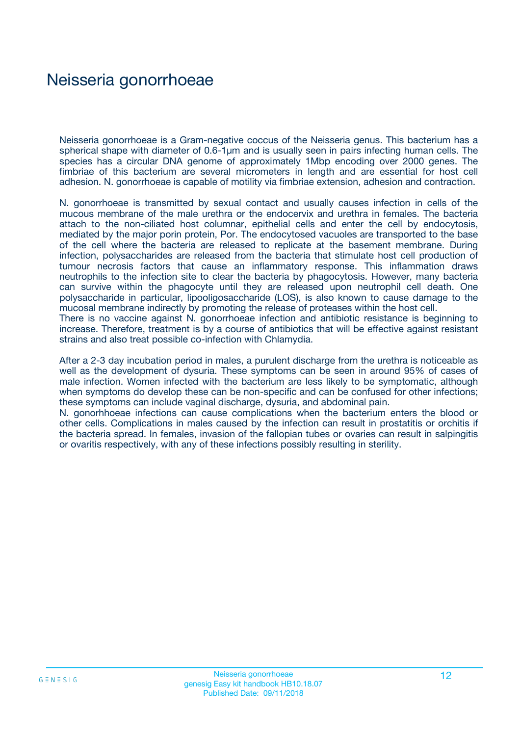### Neisseria gonorrhoeae

Neisseria gonorrhoeae is a Gram-negative coccus of the Neisseria genus. This bacterium has a spherical shape with diameter of 0.6-1 µm and is usually seen in pairs infecting human cells. The species has a circular DNA genome of approximately 1Mbp encoding over 2000 genes. The fimbriae of this bacterium are several micrometers in length and are essential for host cell adhesion. N. gonorrhoeae is capable of motility via fimbriae extension, adhesion and contraction.

N. gonorrhoeae is transmitted by sexual contact and usually causes infection in cells of the mucous membrane of the male urethra or the endocervix and urethra in females. The bacteria attach to the non-ciliated host columnar, epithelial cells and enter the cell by endocytosis, mediated by the major porin protein, Por. The endocytosed vacuoles are transported to the base of the cell where the bacteria are released to replicate at the basement membrane. During infection, polysaccharides are released from the bacteria that stimulate host cell production of tumour necrosis factors that cause an inflammatory response. This inflammation draws neutrophils to the infection site to clear the bacteria by phagocytosis. However, many bacteria can survive within the phagocyte until they are released upon neutrophil cell death. One polysaccharide in particular, lipooligosaccharide (LOS), is also known to cause damage to the mucosal membrane indirectly by promoting the release of proteases within the host cell. There is no vaccine against N. gonorrhoeae infection and antibiotic resistance is beginning to

increase. Therefore, treatment is by a course of antibiotics that will be effective against resistant strains and also treat possible co-infection with Chlamydia.

After a 2-3 day incubation period in males, a purulent discharge from the urethra is noticeable as well as the development of dysuria. These symptoms can be seen in around 95% of cases of male infection. Women infected with the bacterium are less likely to be symptomatic, although when symptoms do develop these can be non-specific and can be confused for other infections; these symptoms can include vaginal discharge, dysuria, and abdominal pain.

N. gonorhhoeae infections can cause complications when the bacterium enters the blood or other cells. Complications in males caused by the infection can result in prostatitis or orchitis if the bacteria spread. In females, invasion of the fallopian tubes or ovaries can result in salpingitis or ovaritis respectively, with any of these infections possibly resulting in sterility.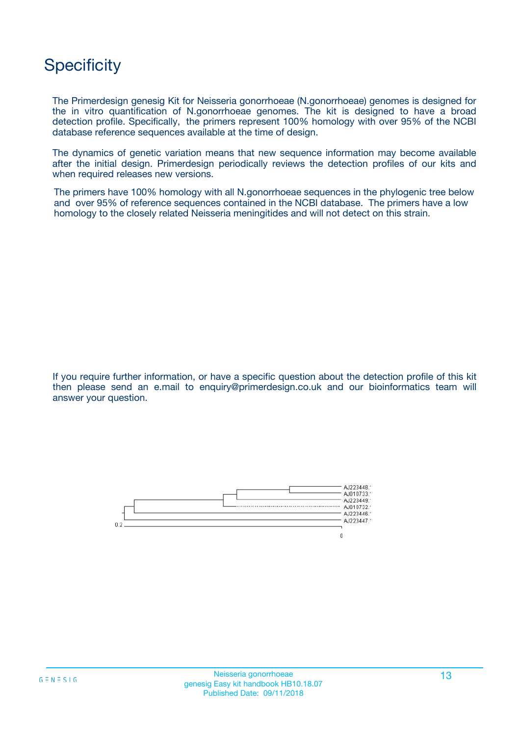## **Specificity**

The Primerdesign genesig Kit for Neisseria gonorrhoeae (N.gonorrhoeae) genomes is designed for the in vitro quantification of N.gonorrhoeae genomes. The kit is designed to have a broad detection profile. Specifically, the primers represent 100% homology with over 95% of the NCBI database reference sequences available at the time of design.

The dynamics of genetic variation means that new sequence information may become available after the initial design. Primerdesign periodically reviews the detection profiles of our kits and when required releases new versions.

The primers have 100% homology with all N.gonorrhoeae sequences in the phylogenic tree below and over 95% of reference sequences contained in the NCBI database. The primers have a low homology to the closely related Neisseria meningitides and will not detect on this strain.

If you require further information, or have a specific question about the detection profile of this kit then please send an e.mail to enquiry@primerdesign.co.uk and our bioinformatics team will answer your question.